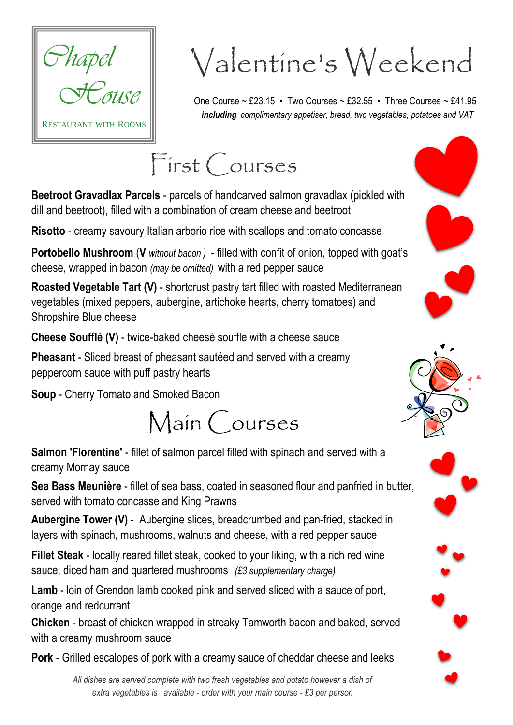

## Valentine's Weekend

One Course ~ £23.15 • Two Courses ~ £32.55 • Three Courses ~ £41.95  *including complimentary appetiser, bread, two vegetables, potatoes and VAT*

## First Courses

**Beetroot Gravadlax Parcels** - parcels of handcarved salmon gravadlax (pickled with dill and beetroot), filled with a combination of cream cheese and beetroot

**Risotto** - creamy savoury Italian arborio rice with scallops and tomato concasse

**Portobello Mushroom** (**V** *without bacon )* - filled with confit of onion, topped with goat's cheese, wrapped in bacon *(may be omitted)* with a red pepper sauce

**Roasted Vegetable Tart (V)** - shortcrust pastry tart filled with roasted Mediterranean vegetables (mixed peppers, aubergine, artichoke hearts, cherry tomatoes) and Shropshire Blue cheese

**Cheese Soufflé (V)** - twice-baked cheesé souffle with a cheese sauce

**Pheasant** - Sliced breast of pheasant sautéed and served with a creamy peppercorn sauce with puff pastry hearts

**Soup** - Cherry Tomato and Smoked Bacon



**Salmon 'Florentine'** - fillet of salmon parcel filled with spinach and served with a creamy Mornay sauce

**Sea Bass Meunière** - fillet of sea bass, coated in seasoned flour and panfried in butter, served with tomato concasse and King Prawns

**Aubergine Tower (V)** - Aubergine slices, breadcrumbed and pan-fried, stacked in layers with spinach, mushrooms, walnuts and cheese, with a red pepper sauce

**Fillet Steak** - locally reared fillet steak, cooked to your liking, with a rich red wine sauce, diced ham and quartered mushrooms *(£3 supplementary charge)*

**Lamb** - loin of Grendon lamb cooked pink and served sliced with a sauce of port, orange and redcurrant

**Chicken** - breast of chicken wrapped in streaky Tamworth bacon and baked, served with a creamy mushroom sauce

**Pork** - Grilled escalopes of pork with a creamy sauce of cheddar cheese and leeks

*All dishes are served complete with two fresh vegetables and potato however a dish of extra vegetables is available - order with your main course - £3 per person*